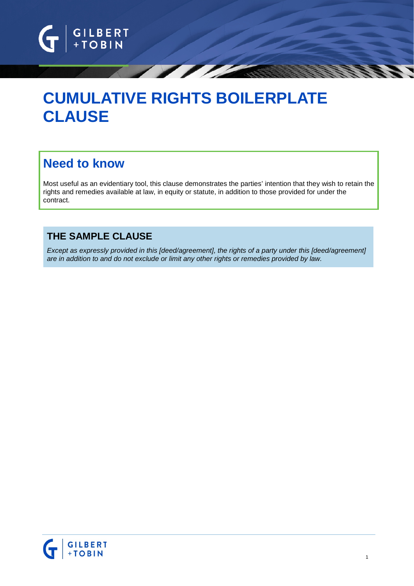

# **CUMULATIVE RIGHTS BOILERPLATE CLAUSE**

## **Need to know**

Most useful as an evidentiary tool, this clause demonstrates the parties' intention that they wish to retain the rights and remedies available at law, in equity or statute, in addition to those provided for under the contract.

## **THE SAMPLE CLAUSE**

*Except as expressly provided in this [deed/agreement], the rights of a party under this [deed/agreement] are in addition to and do not exclude or limit any other rights or remedies provided by law.*

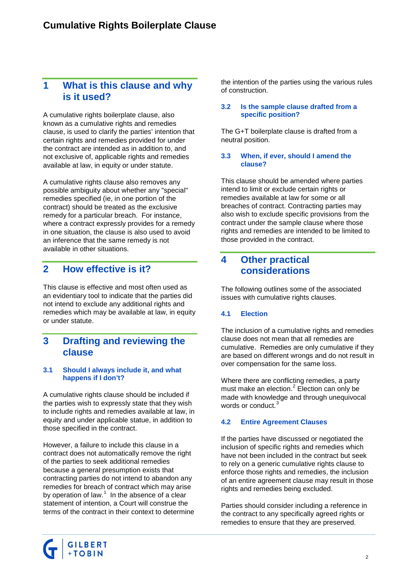## **1 What is this clause and why is it used?**

A cumulative rights boilerplate clause, also known as a cumulative rights and remedies clause, is used to clarify the parties' intention that certain rights and remedies provided for under the contract are intended as in addition to, and not exclusive of, applicable rights and remedies available at law, in equity or under statute.

A cumulative rights clause also removes any possible ambiguity about whether any "special" remedies specified (ie, in one portion of the contract) should be treated as the exclusive remedy for a particular breach. For instance, where a contract expressly provides for a remedy in one situation, the clause is also used to avoid an inference that the same remedy is not available in other situations.

## **2 How effective is it?**

This clause is effective and most often used as an evidentiary tool to indicate that the parties did not intend to exclude any additional rights and remedies which may be available at law, in equity or under statute.

### **3 Drafting and reviewing the clause**

#### **3.1 Should I always include it, and what happens if I don't?**

A cumulative rights clause should be included if the parties wish to expressly state that they wish to include rights and remedies available at law, in equity and under applicable statue, in addition to those specified in the contract.

However, a failure to include this clause in a contract does not automatically remove the right of the parties to seek additional remedies because a general presumption exists that contracting parties do not intend to abandon any remedies for breach of contract which may arise by operation of law. $1$  In the absence of a clear statement of intention, a Court will construe the terms of the contract in their context to determine the intention of the parties using the various rules of construction.

#### **3.2 Is the sample clause drafted from a specific position?**

The G+T boilerplate clause is drafted from a neutral position.

#### **3.3 When, if ever, should I amend the clause?**

This clause should be amended where parties intend to limit or exclude certain rights or remedies available at law for some or all breaches of contract. Contracting parties may also wish to exclude specific provisions from the contract under the sample clause where those rights and remedies are intended to be limited to those provided in the contract.

## **4 Other practical considerations**

The following outlines some of the associated issues with cumulative rights clauses.

#### **4.1 Election**

The inclusion of a cumulative rights and remedies clause does not mean that all remedies are cumulative. Remedies are only cumulative if they are based on different wrongs and do not result in over compensation for the same loss.

Where there are conflicting remedies, a party must make an election.<sup>[2](#page-2-1)</sup> Election can only be made with knowledge and through unequivocal words or conduct.<sup>[3](#page-2-2)</sup>

#### **4.2 Entire Agreement Clauses**

If the parties have discussed or negotiated the inclusion of specific rights and remedies which have not been included in the contract but seek to rely on a generic cumulative rights clause to enforce those rights and remedies, the inclusion of an entire agreement clause may result in those rights and remedies being excluded.

Parties should consider including a reference in the contract to any specifically agreed rights or remedies to ensure that they are preserved.